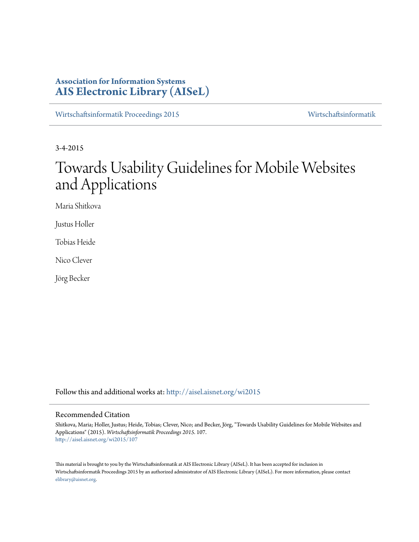# **Association for Information Systems [AIS Electronic Library \(AISeL\)](http://aisel.aisnet.org?utm_source=aisel.aisnet.org%2Fwi2015%2F107&utm_medium=PDF&utm_campaign=PDFCoverPages)**

[Wirtschaftsinformatik Proceedings 2015](http://aisel.aisnet.org/wi2015?utm_source=aisel.aisnet.org%2Fwi2015%2F107&utm_medium=PDF&utm_campaign=PDFCoverPages) [Wirtschaftsinformatik](http://aisel.aisnet.org/wi?utm_source=aisel.aisnet.org%2Fwi2015%2F107&utm_medium=PDF&utm_campaign=PDFCoverPages)

3-4-2015

# Towards Usability Guidelines for Mobile Websites and Applications

Maria Shitkova

Justus Holler

Tobias Heide

Nico Clever

Jörg Becker

Follow this and additional works at: [http://aisel.aisnet.org/wi2015](http://aisel.aisnet.org/wi2015?utm_source=aisel.aisnet.org%2Fwi2015%2F107&utm_medium=PDF&utm_campaign=PDFCoverPages)

#### Recommended Citation

Shitkova, Maria; Holler, Justus; Heide, Tobias; Clever, Nico; and Becker, Jörg, "Towards Usability Guidelines for Mobile Websites and Applications" (2015). *Wirtschaftsinformatik Proceedings 2015*. 107. [http://aisel.aisnet.org/wi2015/107](http://aisel.aisnet.org/wi2015/107?utm_source=aisel.aisnet.org%2Fwi2015%2F107&utm_medium=PDF&utm_campaign=PDFCoverPages)

This material is brought to you by the Wirtschaftsinformatik at AIS Electronic Library (AISeL). It has been accepted for inclusion in Wirtschaftsinformatik Proceedings 2015 by an authorized administrator of AIS Electronic Library (AISeL). For more information, please contact [elibrary@aisnet.org.](mailto:elibrary@aisnet.org%3E)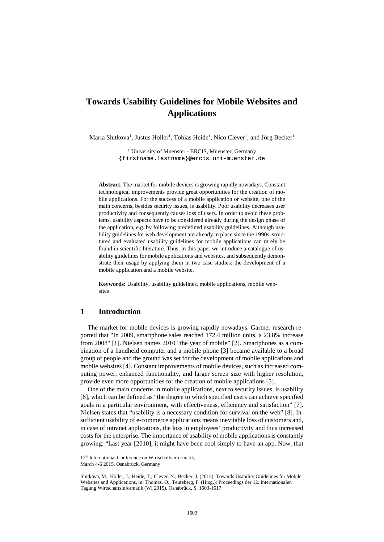# **Towards Usability Guidelines for Mobile Websites and Applications**

Maria Shitkova<sup>1</sup>, Justus Holler<sup>1</sup>, Tobias Heide<sup>1</sup>, Nico Clever<sup>1</sup>, and Jörg Becker<sup>1</sup>

<sup>1</sup> University of Muenster - ERCIS, Muenster, Germany {firstname.lastname}@ercis.uni-muenster.de

**Abstract.** The market for mobile devices is growing rapidly nowadays. Constant technological improvements provide great opportunities for the creation of mobile applications. For the success of a mobile application or website, one of the main concerns, besides security issues, is usability. Poor usability decreases user productivity and consequently causes loss of users. In order to avoid these problems, usability aspects have to be considered already during the design phase of the application, e.g. by following predefined usability guidelines. Although usability guidelines for web development are already in place since the 1990s, structured and evaluated usability guidelines for mobile applications can rarely be found in scientific literature. Thus, in this paper we introduce a catalogue of usability guidelines for mobile applications and websites, and subsequently demonstrate their usage by applying them in two case studies: the development of a mobile application and a mobile website.

**Keywords:** Usability, usability guidelines, mobile applications, mobile websites

### **1 Introduction**

The market for mobile devices is growing rapidly nowadays. Gartner research reported that "In 2009, smartphone sales reached 172.4 million units, a 23.8% increase from 2008" [1]. Nielsen names 2010 "the year of mobile" [2]. Smartphones as a combination of a handheld computer and a mobile phone [3] became available to a broad group of people and the ground was set for the development of mobile applications and mobile websites [4]. Constant improvements of mobile devices, such as increased computing power, enhanced functionality, and larger screen size with higher resolution, provide even more opportunities for the creation of mobile applications [5].

One of the main concerns in mobile applications, next to security issues, is usability [6], which can be defined as "the degree to which specified users can achieve specified goals in a particular environment, with effectiveness, efficiency and satisfaction" [7]. Nielsen states that "usability is a necessary condition for survival on the web" [8]. Insufficient usability of e-commerce applications means inevitable loss of customers and, in case of intranet applications, the loss in employees' productivity and thus increased costs for the enterprise. The importance of usability of mobile applications is constantly growing: "Last year [2010], it might have been cool simply to have an app. Now, that

<sup>12&</sup>lt;sup>th</sup> International Conference on Wirtschaftsinformatik,

March 4-6 2015, Osnabrück, Germany

Shitkova, M.; Holler, J.; Heide, T.; Clever, N.; Becker, J. (2015): Towards Usability Guidelines for Mobile Websites and Applications, in: Thomas. O.; Teuteberg, F. (Hrsg.): Proceedings der 12. Internationalen Tagung Wirtschaftsinformatik (WI 2015), Osnabrück, S. 1603-1617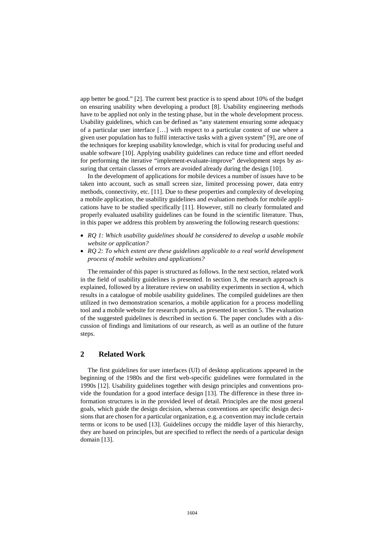app better be good." [2]. The current best practice is to spend about 10% of the budget on ensuring usability when developing a product [8]. Usability engineering methods have to be applied not only in the testing phase, but in the whole development process. Usability guidelines, which can be defined as "any statement ensuring some adequacy of a particular user interface […] with respect to a particular context of use where a given user population has to fulfil interactive tasks with a given system" [9], are one of the techniques for keeping usability knowledge, which is vital for producing useful and usable software [10]. Applying usability guidelines can reduce time and effort needed for performing the iterative "implement-evaluate-improve" development steps by assuring that certain classes of errors are avoided already during the design [10].

In the development of applications for mobile devices a number of issues have to be taken into account, such as small screen size, limited processing power, data entry methods, connectivity, etc. [11]. Due to these properties and complexity of developing a mobile application, the usability guidelines and evaluation methods for mobile applications have to be studied specifically [11]. However, still no clearly formulated and properly evaluated usability guidelines can be found in the scientific literature. Thus, in this paper we address this problem by answering the following research questions:

- *RQ 1: Which usability guidelines should be considered to develop a usable mobile website or application?*
- *RQ 2: To which extent are these guidelines applicable to a real world development process of mobile websites and applications?*

The remainder of this paper is structured as follows. In the next section, related work in the field of usability guidelines is presented. In section 3, the research approach is explained, followed by a literature review on usability experiments in section 4, which results in a catalogue of mobile usability guidelines. The compiled guidelines are then utilized in two demonstration scenarios, a mobile application for a process modelling tool and a mobile website for research portals, as presented in section 5. The evaluation of the suggested guidelines is described in section 6. The paper concludes with a discussion of findings and limitations of our research, as well as an outline of the future steps.

#### **2 Related Work**

The first guidelines for user interfaces (UI) of desktop applications appeared in the beginning of the 1980s and the first web-specific guidelines were formulated in the 1990s [12]. Usability guidelines together with design principles and conventions provide the foundation for a good interface design [13]. The difference in these three information structures is in the provided level of detail. Principles are the most general goals, which guide the design decision, whereas conventions are specific design decisions that are chosen for a particular organization, e.g. a convention may include certain terms or icons to be used [13]. Guidelines occupy the middle layer of this hierarchy, they are based on principles, but are specified to reflect the needs of a particular design domain [13].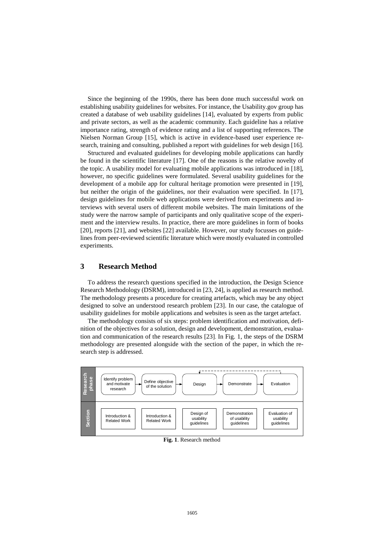Since the beginning of the 1990s, there has been done much successful work on establishing usability guidelines for websites. For instance, the Usability.gov group has created a database of web usability guidelines [14], evaluated by experts from public and private sectors, as well as the academic community. Each guideline has a relative importance rating, strength of evidence rating and a list of supporting references. The Nielsen Norman Group [15], which is active in evidence-based user experience research, training and consulting, published a report with guidelines for web design [16].

Structured and evaluated guidelines for developing mobile applications can hardly be found in the scientific literature [17]. One of the reasons is the relative novelty of the topic. A usability model for evaluating mobile applications was introduced in [18], however, no specific guidelines were formulated. Several usability guidelines for the development of a mobile app for cultural heritage promotion were presented in [19], but neither the origin of the guidelines, nor their evaluation were specified. In [17], design guidelines for mobile web applications were derived from experiments and interviews with several users of different mobile websites. The main limitations of the study were the narrow sample of participants and only qualitative scope of the experiment and the interview results. In practice, there are more guidelines in form of books [20], reports [21], and websites [22] available. However, our study focusses on guidelines from peer-reviewed scientific literature which were mostly evaluated in controlled experiments.

## **3 Research Method**

To address the research questions specified in the introduction, the Design Science Research Methodology (DSRM), introduced in [23, 24], is applied as research method. The methodology presents a procedure for creating artefacts, which may be any object designed to solve an understood research problem [23]. In our case, the catalogue of usability guidelines for mobile applications and websites is seen as the target artefact.

The methodology consists of six steps: problem identification and motivation, definition of the objectives for a solution, design and development, demonstration, evaluation and communication of the research results [23]. In Fig. 1, the steps of the DSRM methodology are presented alongside with the section of the paper, in which the research step is addressed.



**Fig. 1**. Research method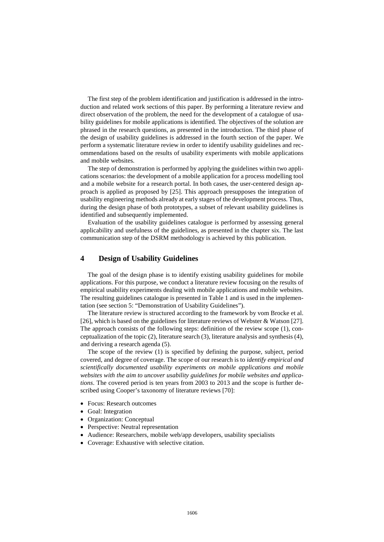The first step of the problem identification and justification is addressed in the introduction and related work sections of this paper. By performing a literature review and direct observation of the problem, the need for the development of a catalogue of usability guidelines for mobile applications is identified. The objectives of the solution are phrased in the research questions, as presented in the introduction. The third phase of the design of usability guidelines is addressed in the fourth section of the paper. We perform a systematic literature review in order to identify usability guidelines and recommendations based on the results of usability experiments with mobile applications and mobile websites.

The step of demonstration is performed by applying the guidelines within two applications scenarios: the development of a mobile application for a process modelling tool and a mobile website for a research portal. In both cases, the user-centered design approach is applied as proposed by [25]. This approach presupposes the integration of usability engineering methods already at early stages of the development process. Thus, during the design phase of both prototypes, a subset of relevant usability guidelines is identified and subsequently implemented.

Evaluation of the usability guidelines catalogue is performed by assessing general applicability and usefulness of the guidelines, as presented in the chapter six. The last communication step of the DSRM methodology is achieved by this publication.

#### **4 Design of Usability Guidelines**

The goal of the design phase is to identify existing usability guidelines for mobile applications. For this purpose, we conduct a literature review focusing on the results of empirical usability experiments dealing with mobile applications and mobile websites. The resulting guidelines catalogue is presented in Table 1 and is used in the implementation (see section 5: ["Demonstration of Usability Guidelines"](#page-6-0)).

The literature review is structured according to the framework by vom Brocke et al. [26], which is based on the guidelines for literature reviews of Webster & Watson [27]. The approach consists of the following steps: definition of the review scope (1), conceptualization of the topic (2), literature search (3), literature analysis and synthesis (4), and deriving a research agenda (5).

The scope of the review (1) is specified by defining the purpose, subject, period covered, and degree of coverage. The scope of our research is to *identify empirical and scientifically documented usability experiments on mobile applications and mobile websites with the aim to uncover usability guidelines for mobile websites and applications*. The covered period is ten years from 2003 to 2013 and the scope is further described using Cooper's taxonomy of literature reviews [70]:

- Focus: Research outcomes
- Goal: Integration
- Organization: Conceptual
- Perspective: Neutral representation
- Audience: Researchers, mobile web/app developers, usability specialists
- Coverage: Exhaustive with selective citation.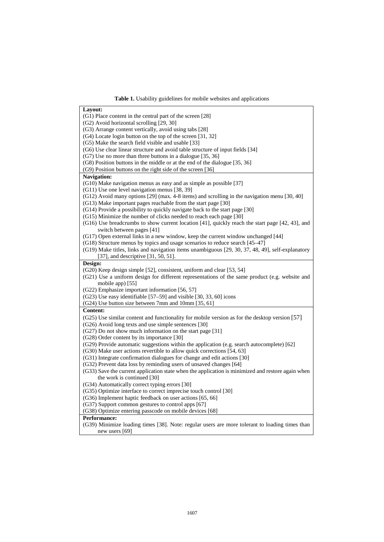**Table 1.** Usability guidelines for mobile websites and applications

| Layout:                                                                                           |
|---------------------------------------------------------------------------------------------------|
|                                                                                                   |
| (G1) Place content in the central part of the screen [28]                                         |
| (G2) Avoid horizontal scrolling [29, 30]                                                          |
| (G3) Arrange content vertically, avoid using tabs [28]                                            |
| (G4) Locate login button on the top of the screen [31, 32]                                        |
| (G5) Make the search field visible and usable [33]                                                |
| (G6) Use clear linear structure and avoid table structure of input fields [34]                    |
| $(G7)$ Use no more than three buttons in a dialogue [35, 36]                                      |
| (G8) Position buttons in the middle or at the end of the dialogue [35, 36]                        |
| (G9) Position buttons on the right side of the screen [36]                                        |
| <b>Navigation:</b>                                                                                |
| (G10) Make navigation menus as easy and as simple as possible [37]                                |
| (G11) Use one level navigation menus [38, 39]                                                     |
| (G12) Avoid many options [29] (max. 4-8 items) and scrolling in the navigation menu [30, 40]      |
| (G13) Make important pages reachable from the start page [30]                                     |
| (G14) Provide a possibility to quickly navigate back to the start page [30]                       |
| (G15) Minimize the number of clicks needed to reach each page [30]                                |
| (G16) Use breadcrumbs to show current location [41], quickly reach the start page [42, 43], and   |
| switch between pages [41]                                                                         |
| (G17) Open external links in a new window, keep the current window unchanged [44]                 |
| (G18) Structure menus by topics and usage scenarios to reduce search [45–47]                      |
| (G19) Make titles, links and navigation items unambiguous [29, 30, 37, 48, 49], self-explanatory  |
| [37], and descriptive [31, 50, 51].                                                               |
| Design:                                                                                           |
| $(G20)$ Keep design simple [52], consistent, uniform and clear [53, 54]                           |
| (G21) Use a uniform design for different representations of the same product (e.g. website and    |
|                                                                                                   |
| mobile app) [55]                                                                                  |
| (G22) Emphasize important information [56, 57]                                                    |
| (G23) Use easy identifiable [57-59] and visible [30, 33, 60] icons                                |
| (G24) Use button size between 7mm and 10mm [35, 61]                                               |
| <b>Content:</b>                                                                                   |
| (G25) Use similar content and functionality for mobile version as for the desktop version [57]    |
| (G26) Avoid long texts and use simple sentences [30]                                              |
| (G27) Do not show much information on the start page [31]                                         |
| (G28) Order content by its importance [30]                                                        |
| $(G29)$ Provide automatic suggestions within the application (e.g. search autocomplete) [62]      |
| (G30) Make user actions revertible to allow quick corrections [54, 63]                            |
| (G31) Integrate confirmation dialogues for change and edit actions [30]                           |
| (G32) Prevent data loss by reminding users of unsaved changes [64]                                |
| (G33) Save the current application state when the application is minimized and restore again when |
| the work is continued [30]                                                                        |
| (G34) Automatically correct typing errors [30]                                                    |
| (G35) Optimize interface to correct imprecise touch control [30]                                  |
| (G36) Implement haptic feedback on user actions [65, 66]                                          |
| (G37) Support common gestures to control apps [67]                                                |
| (G38) Optimize entering passcode on mobile devices [68]                                           |
| <b>Performance:</b>                                                                               |
| (G39) Minimize loading times [38]. Note: regular users are more tolerant to loading times than    |
| new users $[69]$                                                                                  |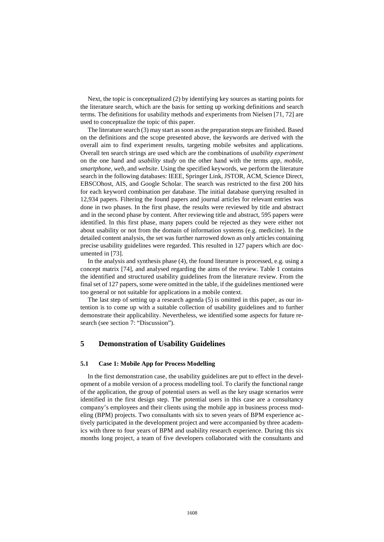Next, the topic is conceptualized (2) by identifying key sources as starting points for the literature search, which are the basis for setting up working definitions and search terms. The definitions for usability methods and experiments from Nielsen [71, 72] are used to conceptualize the topic of this paper.

The literature search (3) may start as soon as the preparation steps are finished. Based on the definitions and the scope presented above, the keywords are derived with the overall aim to find experiment results, targeting mobile websites and applications. Overall ten search strings are used which are the combinations of *usability experiment* on the one hand and *usability study* on the other hand with the terms *app, mobile, smartphone, web,* and *website*. Using the specified keywords, we perform the literature search in the following databases: IEEE, Springer Link, JSTOR, ACM, Science Direct, EBSCOhost, AIS, and Google Scholar. The search was restricted to the first 200 hits for each keyword combination per database. The initial database querying resulted in 12,934 papers. Filtering the found papers and journal articles for relevant entries was done in two phases. In the first phase, the results were reviewed by title and abstract and in the second phase by content. After reviewing title and abstract, 595 papers were identified. In this first phase, many papers could be rejected as they were either not about usability or not from the domain of information systems (e.g. medicine). In the detailed content analysis, the set was further narrowed down as only articles containing precise usability guidelines were regarded. This resulted in 127 papers which are documented in [73].

In the analysis and synthesis phase (4), the found literature is processed, e.g. using a concept matrix [74], and analysed regarding the aims of the review. Table 1 contains the identified and structured usability guidelines from the literature review. From the final set of 127 papers, some were omitted in the table, if the guidelines mentioned were too general or not suitable for applications in a mobile context.

The last step of setting up a research agenda (5) is omitted in this paper, as our intention is to come up with a suitable collection of usability guidelines and to further demonstrate their applicability. Nevertheless, we identified some aspects for future research (see section 7: ["Discussion"](#page-11-0)).

#### <span id="page-6-0"></span>**5 Demonstration of Usability Guidelines**

#### **5.1 Case 1: Mobile App for Process Modelling**

In the first demonstration case, the usability guidelines are put to effect in the development of a mobile version of a process modelling tool. To clarify the functional range of the application, the group of potential users as well as the key usage scenarios were identified in the first design step. The potential users in this case are a consultancy company's employees and their clients using the mobile app in business process modeling (BPM) projects. Two consultants with six to seven years of BPM experience actively participated in the development project and were accompanied by three academics with three to four years of BPM and usability research experience. During this six months long project, a team of five developers collaborated with the consultants and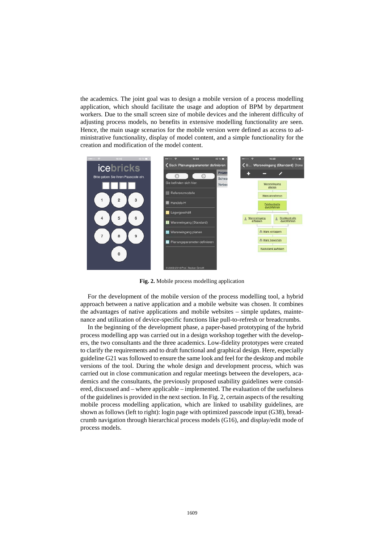the academics. The joint goal was to design a mobile version of a process modelling application, which should facilitate the usage and adoption of BPM by department workers. Due to the small screen size of mobile devices and the inherent difficulty of adjusting process models, no benefits in extensive modelling functionality are seen. Hence, the main usage scenarios for the mobile version were defined as access to administrative functionality, display of model content, and a simple functionality for the creation and modification of the model content.



**Fig. 2.** Mobile process modelling application

For the development of the mobile version of the process modelling tool, a hybrid approach between a native application and a mobile website was chosen. It combines the advantages of native applications and mobile websites – simple updates, maintenance and utilization of device-specific functions like pull-to-refresh or breadcrumbs.

In the beginning of the development phase, a paper-based prototyping of the hybrid process modelling app was carried out in a design workshop together with the developers, the two consultants and the three academics. Low-fidelity prototypes were created to clarify the requirements and to draft functional and graphical design. Here, especially guideline G21 was followed to ensure the same look and feel for the desktop and mobile versions of the tool. During the whole design and development process, which was carried out in close communication and regular meetings between the developers, academics and the consultants, the previously proposed usability guidelines were considered, discussed and – where applicable – implemented. The evaluation of the usefulness of the guidelines is provided in the next section. In Fig. 2, certain aspects of the resulting mobile process modelling application, which are linked to usability guidelines, are shown as follows (left to right): login page with optimized passcode input (G38), breadcrumb navigation through hierarchical process models (G16), and display/edit mode of process models.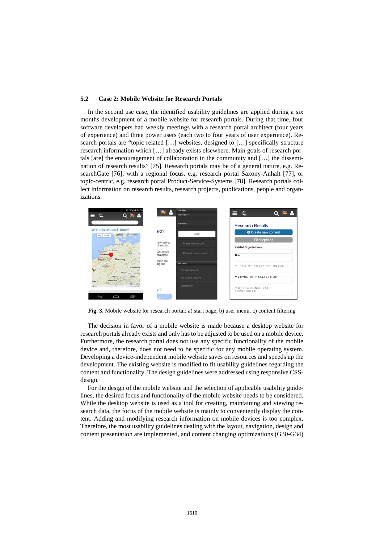#### **5.2 Case 2: Mobile Website for Research Portals**

In the second use case, the identified usability guidelines are applied during a six months development of a mobile website for research portals. During that time, four software developers had weekly meetings with a research portal architect (four years of experience) and three power users (each two to four years of user experience). Research portals are "topic related […] websites, designed to […] specifically structure research information which […] already exists elsewhere. Main goals of research portals [are] the encouragement of collaboration in the community and […] the dissemination of research results" [75]. Research portals may be of a general nature, e.g. ResearchGate [76], with a regional focus, e.g. research portal Saxony-Anhalt [77], or topic-centric, e.g. research portal Product-Service-Systems [78]. Research portals collect information on research results, research projects, publications, people and organizations.



**Fig. 3.** Mobile website for research portal; a) start page, b) user menu, c) content filtering

The decision in favor of a mobile website is made because a desktop website for research portals already exists and only has to be adjusted to be used on a mobile device. Furthermore, the research portal does not use any specific functionality of the mobile device and, therefore, does not need to be specific for any mobile operating system. Developing a device-independent mobile website saves on resources and speeds up the development. The existing website is modified to fit usability guidelines regarding the content and functionality. The design guidelines were addressed using responsive CSSdesign.

For the design of the mobile website and the selection of applicable usability guidelines, the desired focus and functionality of the mobile website needs to be considered. While the desktop website is used as a tool for creating, maintaining and viewing research data, the focus of the mobile website is mainly to conveniently display the content. Adding and modifying research information on mobile devices is too complex. Therefore, the most usability guidelines dealing with the layout, navigation, design and content presentation are implemented, and content changing optimizations (G30-G34)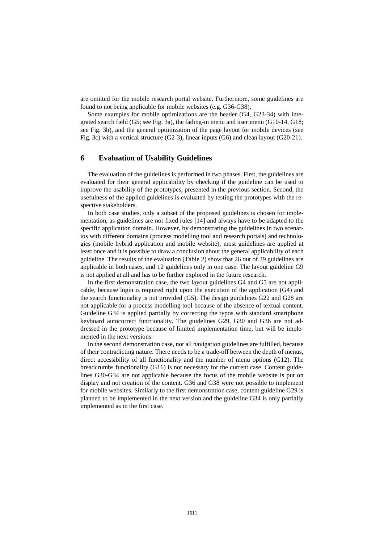are omitted for the mobile research portal website. Furthermore, some guidelines are found to not being applicable for mobile websites (e.g. G36-G38).

Some examples for mobile optimizations are the header (G4, G23-34) with integrated search field (G5; see Fig. 3a), the fading-in menu and user menu (G10-14, G18; see Fig. 3b), and the general optimization of the page layout for mobile devices (see Fig. 3c) with a vertical structure (G2-3), linear inputs (G6) and clean layout (G20-21).

#### **6 Evaluation of Usability Guidelines**

The evaluation of the guidelines is performed in two phases. First, the guidelines are evaluated for their general applicability by checking if the guideline can be used to improve the usability of the prototypes, presented in the previous section. Second, the usefulness of the applied guidelines is evaluated by testing the prototypes with the respective stakeholders.

In both case studies, only a subset of the proposed guidelines is chosen for implementation, as guidelines are not fixed rules [14] and always have to be adapted to the specific application domain. However, by demonstrating the guidelines in two scenarios with different domains (process modelling tool and research portals) and technologies (mobile hybrid application and mobile website), most guidelines are applied at least once and it is possible to draw a conclusion about the general applicability of each guideline. The results of the evaluation (Table 2) show that 26 out of 39 guidelines are applicable in both cases, and 12 guidelines only in one case. The layout guideline G9 is not applied at all and has to be further explored in the future research.

In the first demonstration case, the two layout guidelines G4 and G5 are not applicable, because login is required right upon the execution of the application (G4) and the search functionality is not provided (G5). The design guidelines G22 and G28 are not applicable for a process modelling tool because of the absence of textual content. Guideline G34 is applied partially by correcting the typos with standard smartphone keyboard autocorrect functionality. The guidelines G29, G30 and G36 are not addressed in the prototype because of limited implementation time, but will be implemented in the next versions.

In the second demonstration case, not all navigation guidelines are fulfilled, because of their contradicting nature. There needs to be a trade-off between the depth of menus, direct accessibility of all functionality and the number of menu options (G12). The breadcrumbs functionality (G16) is not necessary for the current case. Content guidelines G30-G34 are not applicable because the focus of the mobile website is put on display and not creation of the content. G36 and G38 were not possible to implement for mobile websites. Similarly to the first demonstration case, content guideline G29 is planned to be implemented in the next version and the guideline G34 is only partially implemented as in the first case.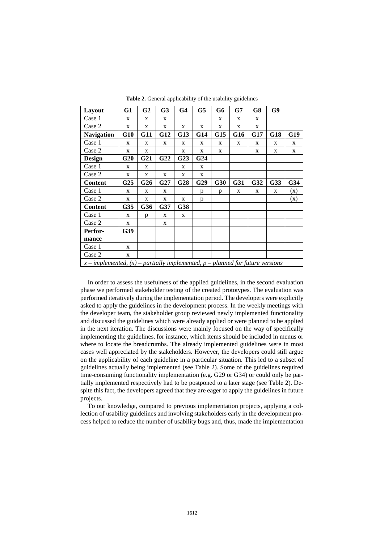| Layout                                                                              | G1              | G <sub>2</sub>  | G <sub>3</sub> | G <sub>4</sub>  | G5              | G6  | G7         | G8              | G9         |     |
|-------------------------------------------------------------------------------------|-----------------|-----------------|----------------|-----------------|-----------------|-----|------------|-----------------|------------|-----|
| Case 1                                                                              | X               | X               | X              |                 |                 | X   | X          | X               |            |     |
| Case 2                                                                              | X               | X               | X              | X               | X               | X   | X          | X               |            |     |
| <b>Navigation</b>                                                                   | $G10$           | <b>G11</b>      | <b>G12</b>     | <b>G13</b>      | G14             | G15 | <b>G16</b> | G17             | <b>G18</b> | G19 |
| Case 1                                                                              | X               | X               | X              | X               | X               | X   | X          | X               | X          | X   |
| Case 2                                                                              | X               | X               |                | X               | X               | X   |            | X               | X          | X   |
| <b>Design</b>                                                                       | <b>G20</b>      | G <sub>21</sub> | G22            | G <sub>23</sub> | G <sub>24</sub> |     |            |                 |            |     |
| Case 1                                                                              | X               | X               |                | X               | X               |     |            |                 |            |     |
| Case 2                                                                              | X               | X               | X              | X               | X               |     |            |                 |            |     |
| <b>Content</b>                                                                      | G <sub>25</sub> | G <sub>26</sub> | G27            | G28             | G29             | G30 | G31        | G <sub>32</sub> | G33        | G34 |
| Case 1                                                                              | X               | X               | X              |                 | p               | p   | X          | X               | X          | (x) |
| Case 2                                                                              | X               | X               | X              | $\mathbf X$     | p               |     |            |                 |            | (x) |
| <b>Content</b>                                                                      | G35             | <b>G36</b>      | G37            | G38             |                 |     |            |                 |            |     |
| Case 1                                                                              | X               | p               | X              | X               |                 |     |            |                 |            |     |
| Case 2                                                                              | X               |                 | X              |                 |                 |     |            |                 |            |     |
| Perfor-                                                                             | G39             |                 |                |                 |                 |     |            |                 |            |     |
| mance                                                                               |                 |                 |                |                 |                 |     |            |                 |            |     |
| Case 1                                                                              | X               |                 |                |                 |                 |     |            |                 |            |     |
| Case 2                                                                              | X               |                 |                |                 |                 |     |            |                 |            |     |
| $x$ – implemented, $(x)$ – partially implemented, $p$ – planned for future versions |                 |                 |                |                 |                 |     |            |                 |            |     |

**Table 2.** General applicability of the usability guidelines

In order to assess the usefulness of the applied guidelines, in the second evaluation phase we performed stakeholder testing of the created prototypes. The evaluation was performed iteratively during the implementation period. The developers were explicitly asked to apply the guidelines in the development process. In the weekly meetings with the developer team, the stakeholder group reviewed newly implemented functionality and discussed the guidelines which were already applied or were planned to be applied in the next iteration. The discussions were mainly focused on the way of specifically implementing the guidelines, for instance, which items should be included in menus or where to locate the breadcrumbs. The already implemented guidelines were in most cases well appreciated by the stakeholders. However, the developers could still argue on the applicability of each guideline in a particular situation. This led to a subset of guidelines actually being implemented (see Table 2). Some of the guidelines required time-consuming functionality implementation (e.g. G29 or G34) or could only be partially implemented respectively had to be postponed to a later stage (see Table 2). Despite this fact, the developers agreed that they are eager to apply the guidelines in future projects.

To our knowledge, compared to previous implementation projects, applying a collection of usability guidelines and involving stakeholders early in the development process helped to reduce the number of usability bugs and, thus, made the implementation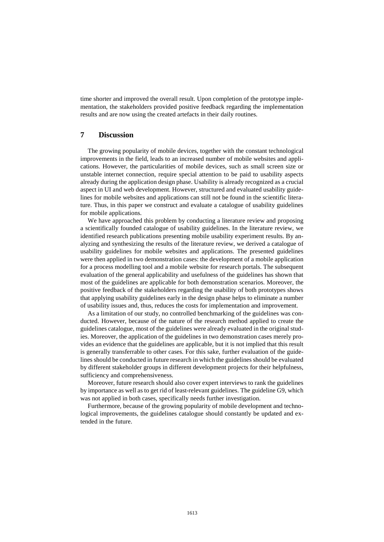time shorter and improved the overall result. Upon completion of the prototype implementation, the stakeholders provided positive feedback regarding the implementation results and are now using the created artefacts in their daily routines.

## <span id="page-11-0"></span>**7 Discussion**

The growing popularity of mobile devices, together with the constant technological improvements in the field, leads to an increased number of mobile websites and applications. However, the particularities of mobile devices, such as small screen size or unstable internet connection, require special attention to be paid to usability aspects already during the application design phase. Usability is already recognized as a crucial aspect in UI and web development. However, structured and evaluated usability guidelines for mobile websites and applications can still not be found in the scientific literature. Thus, in this paper we construct and evaluate a catalogue of usability guidelines for mobile applications.

We have approached this problem by conducting a literature review and proposing a scientifically founded catalogue of usability guidelines. In the literature review, we identified research publications presenting mobile usability experiment results. By analyzing and synthesizing the results of the literature review, we derived a catalogue of usability guidelines for mobile websites and applications. The presented guidelines were then applied in two demonstration cases: the development of a mobile application for a process modelling tool and a mobile website for research portals. The subsequent evaluation of the general applicability and usefulness of the guidelines has shown that most of the guidelines are applicable for both demonstration scenarios. Moreover, the positive feedback of the stakeholders regarding the usability of both prototypes shows that applying usability guidelines early in the design phase helps to eliminate a number of usability issues and, thus, reduces the costs for implementation and improvement.

As a limitation of our study, no controlled benchmarking of the guidelines was conducted. However, because of the nature of the research method applied to create the guidelines catalogue, most of the guidelines were already evaluated in the original studies. Moreover, the application of the guidelines in two demonstration cases merely provides an evidence that the guidelines are applicable, but it is not implied that this result is generally transferrable to other cases. For this sake, further evaluation of the guidelines should be conducted in future research in which the guidelines should be evaluated by different stakeholder groups in different development projects for their helpfulness, sufficiency and comprehensiveness.

Moreover, future research should also cover expert interviews to rank the guidelines by importance as well as to get rid of least-relevant guidelines. The guideline G9, which was not applied in both cases, specifically needs further investigation.

Furthermore, because of the growing popularity of mobile development and technological improvements, the guidelines catalogue should constantly be updated and extended in the future.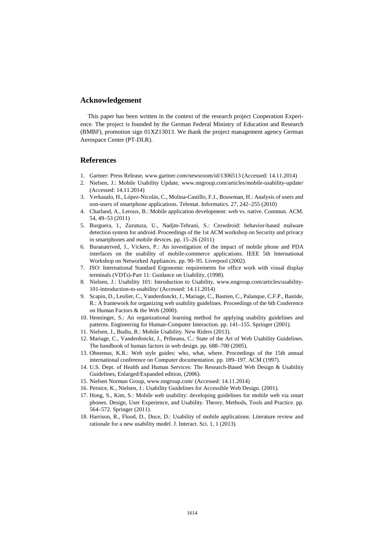#### **Acknowledgement**

This paper has been written in the context of the research project Cooperation Experience. The project is founded by the German Federal Ministry of Education and Research (BMBF), promotion sign 01XZ13013. We thank the project management agency German Aerospace Center (PT-DLR).

#### **References**

- 1. Gartner: Press Release, www.gartner.com/newsroom/id/1306513 (Accessed: 14.11.2014)
- 2. Nielsen, J.: Mobile Usability Update, www.nngroup.com/articles/mobile-usability-update/ (Accessed: 14.11.2014)
- 3. Verkasalo, H., López-Nicolás, C., Molina-Castillo, F.J., Bouwman, H.: Analysis of users and non-users of smartphone applications. Telemat. Informatics. 27, 242–255 (2010)
- 4. Charland, A., Leroux, B.: Mobile application development: web vs. native. Commun. ACM. 54, 49–53 (2011)
- 5. Burguera, I., Zurutuza, U., Nadjm-Tehrani, S.: Crowdroid: behavior-based malware detection system for android. Proceedings of the 1st ACM workshop on Security and privacy in smartphones and mobile devices. pp. 15–26 (2011)
- 6. Buranatrived, J., Vickers, P.: An investigation of the impact of mobile phone and PDA interfaces on the usability of mobile-commerce applications. IEEE 5th International Workshop on Networked Appliances. pp. 90–95. Liverpool (2002).
- 7. ISO: International Standard Ergonomic requirements for office work with visual display terminals (VDTs)-Part 11: Guidance on Usability, (1998).
- 8. Nielsen, J.: Usability 101: Introduction to Usability, www.nngroup.com/articles/usability-101-introduction-to-usability/ (Accessed: 14.11.2014)
- 9. Scapin, D., Leulier, C., Vanderdonckt, J., Mariage, C., Bastien, C., Palanque, C.F.P., Bastide, R.: A framework for organizing web usability guidelines. Proceedings of the 6th Conference on Human Factors & the Web (2000).
- 10. Henninger, S.: An organizational learning method for applying usability guidelines and patterns. Engineering for Human-Computer Interaction. pp. 141–155. Springer (2001).
- 11. Nielsen, J., Budiu, R.: Mobile Usability. New Riders (2013).
- 12. Mariage, C., Vanderdonckt, J., Pribeanu, C.: State of the Art of Web Usability Guidelines. The handbook of human factors in web design. pp. 688–700 (2005).
- 13. Ohnemus, K.R.: Web style guides: who, what, where. Proceedings of the 15th annual international conference on Computer documentation. pp. 189–197. ACM (1997).
- 14. U.S. Dept. of Health and Human Services: The Research-Based Web Design & Usability Guidelines, Enlarged/Expanded edition, (2006).
- 15. Nielsen Norman Group, www.nngroup.com/ (Accessed: 14.11.2014)
- 16. Pernice, K., Nielsen, J.: Usability Guidelines for Accessible Web Design. (2001).
- 17. Hong, S., Kim, S.: Mobile web usability: developing guidelines for mobile web via smart phones. Design, User Experience, and Usability. Theory, Methods, Tools and Practice. pp. 564–572. Springer (2011).
- 18. Harrison, R., Flood, D., Duce, D.: Usability of mobile applications: Literature review and rationale for a new usability model. J. Interact. Sci. 1, 1 (2013).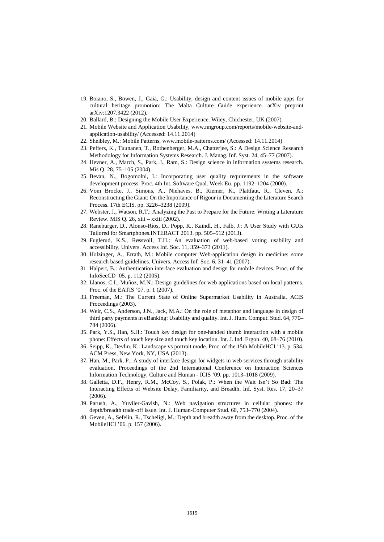- 19. Boiano, S., Bowen, J., Gaia, G.: Usability, design and content issues of mobile apps for cultural heritage promotion: The Malta Culture Guide experience. arXiv preprint arXiv:1207.3422 (2012).
- 20. Ballard, B.: Designing the Mobile User Experience. Wiley, Chichester, UK (2007).
- 21. Mobile Website and Application Usability, www.nngroup.com/reports/mobile-website-andapplication-usability/ (Accessed: 14.11.2014)
- 22. Sheibley, M.: Mobile Patterns, www.mobile-patterns.com/ (Accessed: 14.11.2014)
- 23. Peffers, K., Tuunanen, T., Rothenberger, M.A., Chatterjee, S.: A Design Science Research Methodology for Information Systems Research. J. Manag. Inf. Syst. 24, 45–77 (2007).
- 24. Hevner, A., March, S., Park, J., Ram, S.: Design science in information systems research. Mis Q. 28, 75–105 (2004).
- 25. Bevan, N., Bogomolni, I.: Incorporating user quality requirements in the software development process. Proc. 4th Int. Software Qual. Week Eu. pp. 1192–1204 (2000).
- 26. Vom Brocke, J., Simons, A., Niehaves, B., Riemer, K., Plattfaut, R., Cleven, A.: Reconstructing the Giant: On the Importance of Rigour in Documenting the Literature Search Process. 17th ECIS. pp. 3226–3238 (2009).
- 27. Webster, J., Watson, R.T.: Analyzing the Past to Prepare for the Future: Writing a Literature Review. MIS Q. 26, xiii – xxiii (2002).
- 28. Raneburger, D., Alonso-Ríos, D., Popp, R., Kaindl, H., Falb, J.: A User Study with GUIs Tailored for Smartphones.INTERACT 2013. pp. 505–512 (2013).
- 29. Fuglerud, K.S., Røssvoll, T.H.: An evaluation of web-based voting usability and accessibility. Univers. Access Inf. Soc. 11, 359–373 (2011).
- 30. Holzinger, A., Errath, M.: Mobile computer Web-application design in medicine: some research based guidelines. Univers. Access Inf. Soc. 6, 31–41 (2007).
- 31. Halpert, B.: Authentication interface evaluation and design for mobile devices. Proc. of the InfoSecCD '05. p. 112 (2005).
- 32. Llanos, C.I., Muñoz, M.N.: Design guidelines for web applications based on local patterns. Proc. of the EATIS '07. p. 1 (2007).
- 33. Freeman, M.: The Current State of Online Supermarket Usability in Australia. ACIS Proceedings (2003).
- 34. Weir, C.S., Anderson, J.N., Jack, M.A.: On the role of metaphor and language in design of third party payments in eBanking: Usability and quality. Int. J. Hum. Comput. Stud. 64, 770– 784 (2006).
- 35. Park, Y.S., Han, S.H.: Touch key design for one-handed thumb interaction with a mobile phone: Effects of touch key size and touch key location. Int. J. Ind. Ergon. 40, 68–76 (2010).
- 36. Seipp, K., Devlin, K.: Landscape vs portrait mode. Proc. of the 15th MobileHCI '13. p. 534. ACM Press, New York, NY, USA (2013).
- 37. Han, M., Park, P.: A study of interface design for widgets in web services through usability evaluation. Proceedings of the 2nd International Conference on Interaction Sciences Information Technology, Culture and Human - ICIS '09. pp. 1013–1018 (2009).
- 38. Galletta, D.F., Henry, R.M., McCoy, S., Polak, P.: When the Wait Isn't So Bad: The Interacting Effects of Website Delay, Familiarity, and Breadth. Inf. Syst. Res. 17, 20–37 (2006).
- 39. Parush, A., Yuviler-Gavish, N.: Web navigation structures in cellular phones: the depth/breadth trade-off issue. Int. J. Human-Computer Stud. 60, 753–770 (2004).
- 40. Geven, A., Sefelin, R., Tscheligi, M.: Depth and breadth away from the desktop. Proc. of the MobileHCI '06. p. 157 (2006).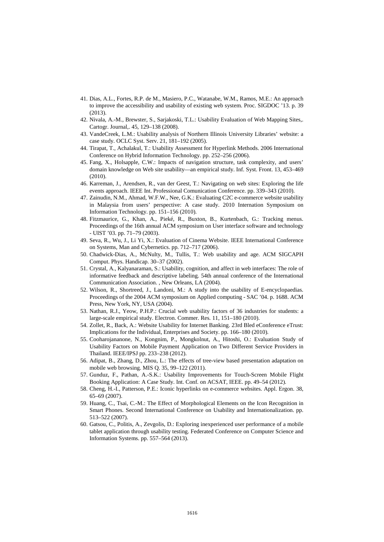- 41. Dias, A.L., Fortes, R.P. de M., Masiero, P.C., Watanabe, W.M., Ramos, M.E.: An approach to improve the accessibility and usability of existing web system. Proc. SIGDOC '13. p. 39 (2013).
- 42. Nivala, A.-M., Brewster, S., Sarjakoski, T.L.: Usability Evaluation of Web Mapping Sites,. Cartogr. Journal,. 45, 129–138 (2008).
- 43. VandeCreek, L.M.: Usability analysis of Northern Illinois University Libraries' website: a case study. OCLC Syst. Serv. 21, 181–192 (2005).
- 44. Tirapat, T., Achalakul, T.: Usability Assessment for Hyperlink Methods. 2006 International Conference on Hybrid Information Technology. pp. 252–256 (2006).
- 45. Fang, X., Holsapple, C.W.: Impacts of navigation structure, task complexity, and users' domain knowledge on Web site usability—an empirical study. Inf. Syst. Front. 13, 453–469 (2010).
- 46. Karreman, J., Arendsen, R., van der Geest, T.: Navigating on web sites: Exploring the life events approach. IEEE Int. Professional Comunication Conference. pp. 339–343 (2010).
- 47. Zainudin, N.M., Ahmad, W.F.W., Nee, G.K.: Evaluating C2C e-commerce website usability in Malaysia from users' perspective: A case study. 2010 Internation Symposium on Information Technology. pp. 151–156 (2010).
- 48. Fitzmaurice, G., Khan, A., Pieké, R., Buxton, B., Kurtenbach, G.: Tracking menus. Proceedings of the 16th annual ACM symposium on User interface software and technology - UIST '03. pp. 71–79 (2003).
- 49. Seva, R., Wu, J., Li Yi, X.: Evaluation of Cinema Website. IEEE International Conference on Systems, Man and Cybernetics. pp. 712–717 (2006).
- 50. Chadwick-Dias, A., McNulty, M., Tullis, T.: Web usability and age. ACM SIGCAPH Comput. Phys. Handicap. 30–37 (2002).
- 51. Crystal, A., Kalyanaraman, S.: Usability, cognition, and affect in web interfaces: The role of informative feedback and descriptive labeling. 54th annual conference of the International Communication Association. , New Orleans, LA (2004).
- 52. Wilson, R., Shortreed, J., Landoni, M.: A study into the usability of E-encyclopaedias. Proceedings of the 2004 ACM symposium on Applied computing - SAC '04. p. 1688. ACM Press, New York, NY, USA (2004).
- 53. Nathan, R.J., Yeow, P.H.P.: Crucial web usability factors of 36 industries for students: a large-scale empirical study. Electron. Commer. Res. 11, 151–180 (2010).
- 54. Zollet, R., Back, A.: Website Usability for Internet Banking. 23rd Bled eConference eTrust: Implications for the Individual, Enterprises and Society. pp. 166–180 (2010).
- 55. Cooharojananone, N., Kongnim, P., Mongkolnut, A., Hitoshi, O.: Evaluation Study of Usability Factors on Mobile Payment Application on Two Different Service Providers in Thailand. IEEE/IPSJ pp. 233–238 (2012).
- 56. Adipat, B., Zhang, D., Zhou, L.: The effects of tree-view based presentation adaptation on mobile web browsing. MIS Q. 35, 99–122 (2011).
- 57. Gunduz, F., Pathan, A.-S.K.: Usability Improvements for Touch-Screen Mobile Flight Booking Application: A Case Study. Int. Conf. on ACSAT, IEEE. pp. 49–54 (2012).
- 58. Cheng, H.-I., Patterson, P.E.: Iconic hyperlinks on e-commerce websites. Appl. Ergon. 38, 65–69 (2007).
- 59. Huang, C., Tsai, C.-M.: The Effect of Morphological Elements on the Icon Recognition in Smart Phones. Second International Conference on Usability and Internationalization. pp. 513–522 (2007).
- 60. Gatsou, C., Politis, A., Zevgolis, D.: Exploring inexperienced user performance of a mobile tablet application through usability testing. Federated Conference on Computer Science and Information Systems. pp. 557–564 (2013).